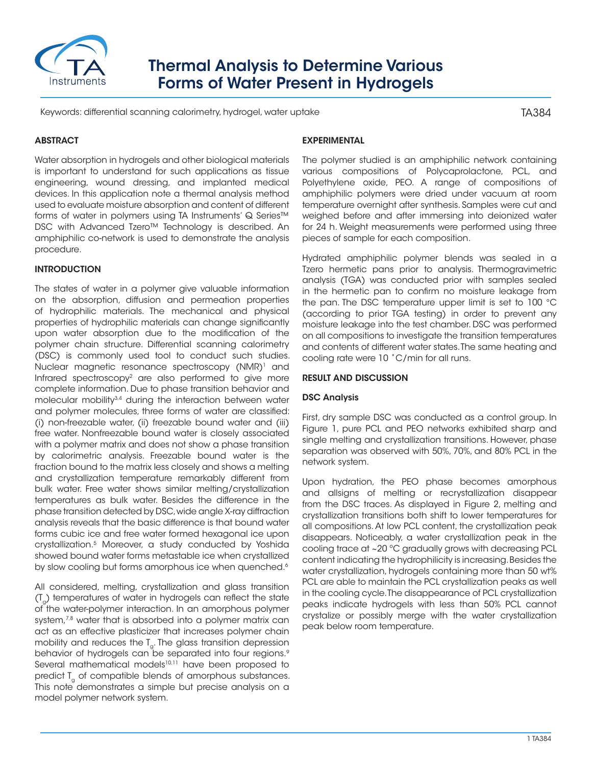

# Thermal Analysis to Determine Various Forms of Water Present in Hydrogels

Keywords: differential scanning calorimetry, hydrogel, water uptake

TA384

#### **ABSTRACT**

Water absorption in hydrogels and other biological materials is important to understand for such applications as tissue engineering, wound dressing, and implanted medical devices. In this application note a thermal analysis method used to evaluate moisture absorption and content of different forms of water in polymers using TA Instruments' Q Series™ DSC with Advanced Tzero™ Technology is described. An amphiphilic co-network is used to demonstrate the analysis procedure.

### INTRODUCTION

The states of water in a polymer give valuable information on the absorption, diffusion and permeation properties of hydrophilic materials. The mechanical and physical properties of hydrophilic materials can change significantly upon water absorption due to the modification of the polymer chain structure. Differential scanning calorimetry (DSC) is commonly used tool to conduct such studies. Nuclear magnetic resonance spectroscopy (NMR)<sup>1</sup> and Infrared spectroscopy<sup>2</sup> are also performed to give more complete information. Due to phase transition behavior and molecular mobility<sup>3,4</sup> during the interaction between water and polymer molecules, three forms of water are classified: (i) non-freezable water, (ii) freezable bound water and (iii) free water. Nonfreezable bound water is closely associated with a polymer matrix and does not show a phase transition by calorimetric analysis. Freezable bound water is the fraction bound to the matrix less closely and shows a melting and crystallization temperature remarkably different from bulk water. Free water shows similar melting/crystallization temperatures as bulk water. Besides the difference in the phase transition detected by DSC, wide angle X-ray diffraction analysis reveals that the basic difference is that bound water forms cubic ice and free water formed hexagonal ice upon crystallization.5 Moreover, a study conducted by Yoshida showed bound water forms metastable ice when crystallized by slow cooling but forms amorphous ice when quenched.<sup>6</sup>

All considered, melting, crystallization and glass transition (Tg) temperatures of water in hydrogels can reflect the state of the water-polymer interaction. In an amorphous polymer system,<sup>7,8</sup> water that is absorbed into a polymer matrix can act as an effective plasticizer that increases polymer chain mobility and reduces the  $T_{g}$ . The glass transition depression behavior of hydrogels can be separated into four regions.<sup>9</sup> Several mathematical models<sup>10,11</sup> have been proposed to predict T<sub>g</sub> of compatible blends of amorphous substances. This note demonstrates a simple but precise analysis on a model polymer network system.

#### EXPERIMENTAL

The polymer studied is an amphiphilic network containing various compositions of Polycaprolactone, PCL, and Polyethylene oxide, PEO. A range of compositions of amphiphilic polymers were dried under vacuum at room temperature overnight after synthesis. Samples were cut and weighed before and after immersing into deionized water for 24 h. Weight measurements were performed using three pieces of sample for each composition.

Hydrated amphiphilic polymer blends was sealed in a Tzero hermetic pans prior to analysis. Thermogravimetric analysis (TGA) was conducted prior with samples sealed in the hermetic pan to confirm no moisture leakage from the pan. The DSC temperature upper limit is set to 100 °C (according to prior TGA testing) in order to prevent any moisture leakage into the test chamber. DSC was performed on all compositions to investigate the transition temperatures and contents of different water states. The same heating and cooling rate were 10 ˚C/min for all runs.

#### RESULT AND DISCUSSION

#### DSC Analysis

First, dry sample DSC was conducted as a control group. In Figure 1, pure PCL and PEO networks exhibited sharp and single melting and crystallization transitions. However, phase separation was observed with 50%, 70%, and 80% PCL in the network system.

Upon hydration, the PEO phase becomes amorphous and allsigns of melting or recrystallization disappear from the DSC traces. As displayed in Figure 2, melting and crystallization transitions both shift to lower temperatures for all compositions. At low PCL content, the crystallization peak disappears. Noticeably, a water crystallization peak in the cooling trace at ~20 ºC gradually grows with decreasing PCL content indicating the hydrophilicity is increasing. Besides the water crystallization, hydrogels containing more than 50 wt% PCL are able to maintain the PCL crystallization peaks as well in the cooling cycle. The disappearance of PCL crystallization peaks indicate hydrogels with less than 50% PCL cannot crystalize or possibly merge with the water crystallization peak below room temperature.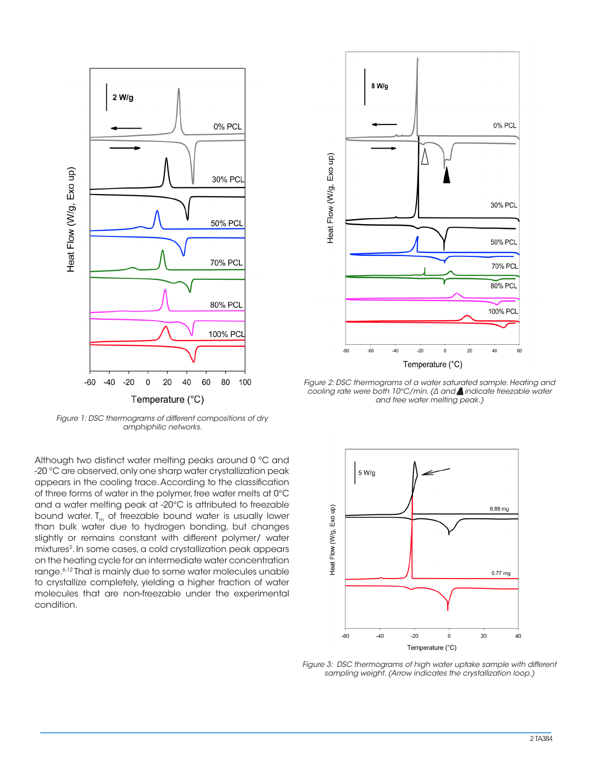

*Figure 1: DSC thermograms of different compositions of dry amphiphilic networks.* 

Although two distinct water melting peaks around 0 °C and -20 °C are observed, only one sharp water crystallization peak appears in the cooling trace. According to the classification of three forms of water in the polymer, free water melts at 0°C and a water melting peak at -20°C is attributed to freezable bound water.  $T_m$  of freezable bound water is usually lower than bulk water due to hydrogen bonding, but changes slightly or remains constant with different polymer/ water mixtures2. In some cases, a cold crystallization peak appears on the heating cycle for an intermediate water concentration range.6,12 That is mainly due to some water molecules unable to crystallize completely, yielding a higher fraction of water molecules that are non-freezable under the experimental condition.



*Figure 2: DSC thermograms of a water saturated sample. Heating and cooling rate were both 10°C/min. (∆ and ∆ indicate freezable water and free water melting peak.)*



*Figure 3: DSC thermograms of high water uptake sample with different sampling weight. (Arrow indicates the crystallization loop.)*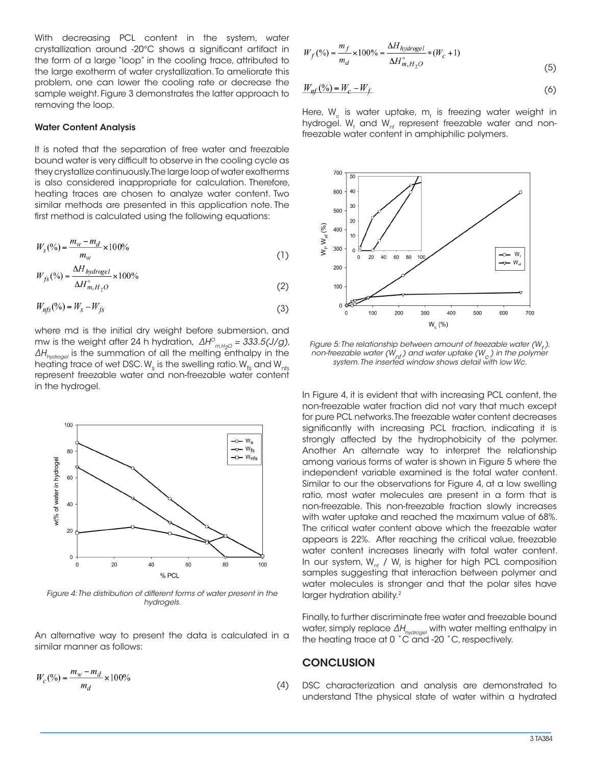With decreasing PCL content in the system, water crystallization around -20°C shows a significant artifact in the form of a large "loop" in the cooling trace, attributed to the large exotherm of water crystallization. To ameliorate this problem, one can lower the cooling rate or decrease the sample weight. Figure 3 demonstrates the latter approach to removing the loop.

#### Water Content Analysis

It is noted that the separation of free water and freezable bound water is very difficult to observe in the cooling cycle as they crystallize continuously. The large loop of water exotherms is also considered inappropriate for calculation. Therefore, heating traces are chosen to analyze water content. Two similar methods are presented in this application note. The first method is calculated using the following equations:

$$
W_s(\%) = \frac{m_w - m_d}{m_w} \times 100\%
$$
 (1)

$$
W_{fs}(\%) = \frac{\Delta H_{hydrogel}}{\Delta H_{m,H_2O}^{\circ}} \times 100\%
$$
\n(2)

$$
W_{nfs}(\%) = W_s - W_{fs} \tag{3}
$$

where md is the initial dry weight before submersion, and mw is the weight after 24 h hydration, *∆HO m,H2O = 333.5(J/g)*, *∆H<sub>hydrogel</sub>* is the summation of all the melting enthalpy in the heating trace of wet DSC. W<sub>s</sub> is the swelling ratio. W<sub>fs</sub> and W<sub>nfs</sub> represent freezable water and non-freezable water content in the hydrogel.



*Figure 4: The distribution of different forms of water present in the hydrogels.* 

An alternative way to present the data is calculated in a similar manner as follows:

$$
W_c(\%) = \frac{m_w - m_d}{m_d} \times 100\%
$$
 (4)

$$
W_f(\%) = \frac{m_f}{m_d} \times 100\% = \frac{\Delta H_{hydrogel}}{\Delta H_{m,H_2O}^{\circ}} * (W_c + 1)
$$
\n(5)

$$
W_{nf}(%) = W_c - W_f
$$
 (6)

Here, W<sub>c</sub> is water uptake, m<sub>f</sub> is freezing water weight in hydrogel.  $\mathsf{W}_{_{\mathsf{f}}}$  and  $\mathsf{W}_{_{\sf nf}}$  represent freezable water and nonfreezable water content in amphiphilic polymers.



*Figure 5: The relationship between amount of freezable water (W<sub>\*</sub>)*, *non-freezable water (Wnf ) and water uptake (Wc ) in the polymer system. The inserted window shows detail with low Wc.*

In Figure 4, it is evident that with increasing PCL content, the non-freezable water fraction did not vary that much except for pure PCL networks. The freezable water content decreases significantly with increasing PCL fraction, indicating it is strongly affected by the hydrophobicity of the polymer. Another An alternate way to interpret the relationship among various forms of water is shown in Figure 5 where the independent variable examined is the total water content. Similar to our the observations for Figure 4, at a low swelling ratio, most water molecules are present in a form that is non-freezable. This non-freezable fraction slowly increases with water uptake and reached the maximum value of 68%. The critical water content above which the freezable water appears is 22%. After reaching the critical value, freezable water content increases linearly with total water content. In our system, W<sub>nf</sub> / W<sub>f</sub> is higher for high PCL composition samples suggesting that interaction between polymer and water molecules is stronger and that the polar sites have larger hydration ability.<sup>2</sup>

Finally, to further discriminate free water and freezable bound water, simply replace *ΔH<sub>hydrogel</sub>* with water melting enthalpy in the heating trace at 0 ˚C and -20 ˚C, respectively.

#### **CONCLUSION**

DSC characterization and analysis are demonstrated to understand Tthe physical state of water within a hydrated